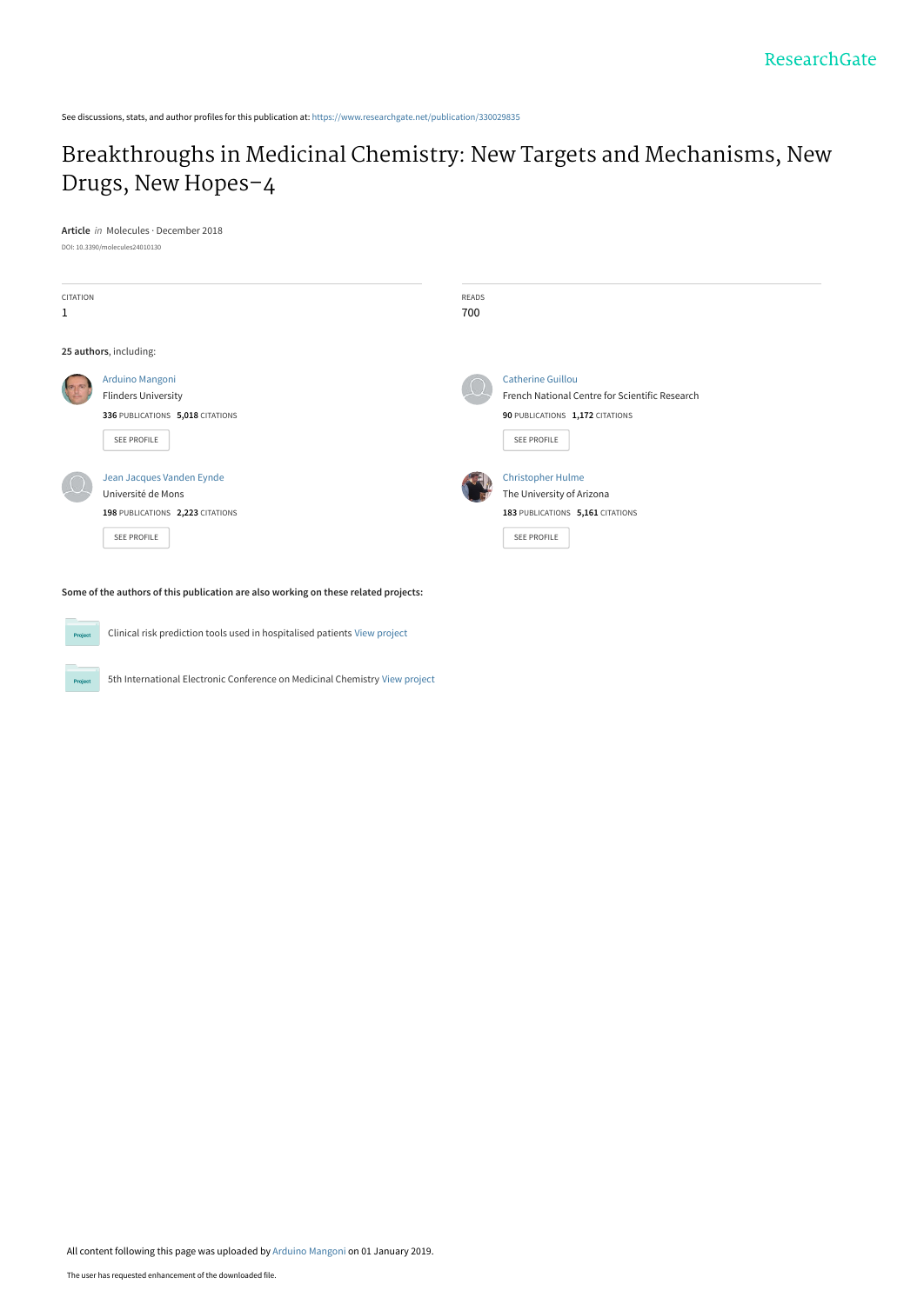See discussions, stats, and author profiles for this publication at: [https://www.researchgate.net/publication/330029835](https://www.researchgate.net/publication/330029835_Breakthroughs_in_Medicinal_Chemistry_New_Targets_and_Mechanisms_New_Drugs_New_Hopes-4?enrichId=rgreq-cd72ee31fdaf15ab8343c05062cc8d01-XXX&enrichSource=Y292ZXJQYWdlOzMzMDAyOTgzNTtBUzo3MTAxMDA2MTY1MDczOTJAMTU0NjMxMjU4ODg0Ng%3D%3D&el=1_x_2&_esc=publicationCoverPdf)

## [Breakthroughs in Medicinal Chemistry: New Targets and Mechanisms, New](https://www.researchgate.net/publication/330029835_Breakthroughs_in_Medicinal_Chemistry_New_Targets_and_Mechanisms_New_Drugs_New_Hopes-4?enrichId=rgreq-cd72ee31fdaf15ab8343c05062cc8d01-XXX&enrichSource=Y292ZXJQYWdlOzMzMDAyOTgzNTtBUzo3MTAxMDA2MTY1MDczOTJAMTU0NjMxMjU4ODg0Ng%3D%3D&el=1_x_3&_esc=publicationCoverPdf) Drugs, New Hopes–4

**Article** in Molecules · December 2018 DOI: 10.3390/molecules24010130

| CITATION<br>$1\,$ |                                                                                                    | READS<br>700 |                                                                                                                              |
|-------------------|----------------------------------------------------------------------------------------------------|--------------|------------------------------------------------------------------------------------------------------------------------------|
|                   | 25 authors, including:                                                                             |              |                                                                                                                              |
|                   | Arduino Mangoni<br><b>Flinders University</b><br>336 PUBLICATIONS 5,018 CITATIONS<br>SEE PROFILE   |              | <b>Catherine Guillou</b><br>French National Centre for Scientific Research<br>90 PUBLICATIONS 1,172 CITATIONS<br>SEE PROFILE |
|                   | Jean Jacques Vanden Eynde<br>Université de Mons<br>198 PUBLICATIONS 2,223 CITATIONS<br>SEE PROFILE |              | <b>Christopher Hulme</b><br>The University of Arizona<br>183 PUBLICATIONS 5,161 CITATIONS<br>SEE PROFILE                     |

**Some of the authors of this publication are also working on these related projects:**

Clinical risk prediction tools used in hospitalised patients [View project](https://www.researchgate.net/project/Clinical-risk-prediction-tools-used-in-hospitalised-patients?enrichId=rgreq-cd72ee31fdaf15ab8343c05062cc8d01-XXX&enrichSource=Y292ZXJQYWdlOzMzMDAyOTgzNTtBUzo3MTAxMDA2MTY1MDczOTJAMTU0NjMxMjU4ODg0Ng%3D%3D&el=1_x_9&_esc=publicationCoverPdf) **Project** 5th International Electronic Conference on Medicinal Chemistry [View project](https://www.researchgate.net/project/5th-International-Electronic-Conference-on-Medicinal-Chemistry?enrichId=rgreq-cd72ee31fdaf15ab8343c05062cc8d01-XXX&enrichSource=Y292ZXJQYWdlOzMzMDAyOTgzNTtBUzo3MTAxMDA2MTY1MDczOTJAMTU0NjMxMjU4ODg0Ng%3D%3D&el=1_x_9&_esc=publicationCoverPdf) Project

All content following this page was uploaded by [Arduino Mangoni](https://www.researchgate.net/profile/Arduino_Mangoni?enrichId=rgreq-cd72ee31fdaf15ab8343c05062cc8d01-XXX&enrichSource=Y292ZXJQYWdlOzMzMDAyOTgzNTtBUzo3MTAxMDA2MTY1MDczOTJAMTU0NjMxMjU4ODg0Ng%3D%3D&el=1_x_10&_esc=publicationCoverPdf) on 01 January 2019.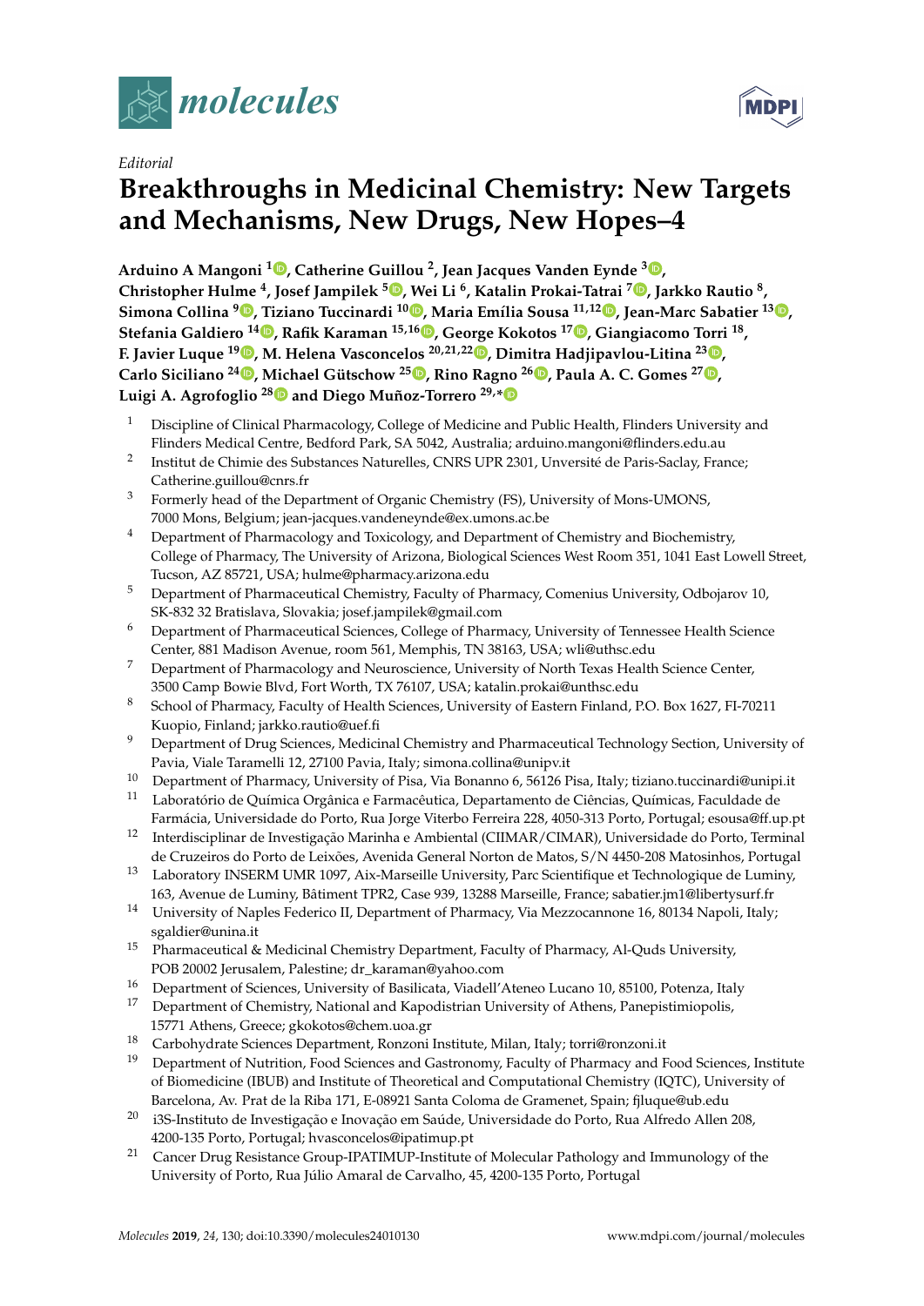

*Editorial*

# **Breakthroughs in Medicinal Chemistry: New Targets and Mechanisms, New Drugs, New Hopes–4**

**Arduino A Mangoni <sup>1</sup> [,](https://orcid.org/0000-0001-8699-1412) Catherine Guillou <sup>2</sup> , Jean Jacques Vanden Eynde <sup>3</sup> [,](https://orcid.org/0000-0003-4770-4104) Christopher Hulme <sup>4</sup> , Josef Jampilek <sup>5</sup> [,](https://orcid.org/0000-0003-2003-9052) Wei Li <sup>6</sup> , Katalin Prokai-Tatrai <sup>7</sup> [,](https://orcid.org/0000-0001-5595-1346) Jarkko Rautio <sup>8</sup> , Simona Collina [9](https://orcid.org/0000-0002-2954-7558) , Tiziano Tuccinardi <sup>10</sup> [,](https://orcid.org/0000-0002-6205-4069) Maria Emília Sousa 11,12 [,](https://orcid.org/0000-0002-5397-4672) Jean-Marc Sabatier <sup>13</sup> [,](https://orcid.org/0000-0002-9040-5647) Stefania Galdiero <sup>14</sup> [,](https://orcid.org/0000-0002-7849-7024) Rafik Karaman 15,16 [,](https://orcid.org/0000-0001-5526-4490) George Kokotos <sup>17</sup> [,](https://orcid.org/0000-0003-3753-7082) Giangiacomo Torri <sup>18</sup> , F. Javier Luque <sup>19</sup> [,](https://orcid.org/0000-0002-8049-3567) M. Helena Vasconcelos 20,21,22 [,](https://orcid.org/0000-0002-7801-4643) Dimitra Hadjipavlou-Litina 2[3](https://orcid.org/0000-0002-1844-350X) , Carlo Siciliano <sup>24</sup> [,](https://orcid.org/0000-0002-0584-219X) Michael Gütschow <sup>25</sup> [,](https://orcid.org/0000-0002-9376-7897) Rino Ragno <sup>26</sup> [,](https://orcid.org/0000-0001-5399-975X) Paula A. C. Gomes <sup>27</sup> [,](https://orcid.org/0000-0002-6018-4724) Luigi A. Agrofoglio 2[8](https://orcid.org/0000-0002-6083-0810) and Diego Muñoz-Torrero 29,[\\*](https://orcid.org/0000-0002-8140-8555)**

- <sup>1</sup> Discipline of Clinical Pharmacology, College of Medicine and Public Health, Flinders University and Flinders Medical Centre, Bedford Park, SA 5042, Australia; arduino.mangoni@flinders.edu.au
- 2 Institut de Chimie des Substances Naturelles, CNRS UPR 2301, Unversité de Paris-Saclay, France; Catherine.guillou@cnrs.fr
- <sup>3</sup> Formerly head of the Department of Organic Chemistry (FS), University of Mons-UMONS, 7000 Mons, Belgium; jean-jacques.vandeneynde@ex.umons.ac.be
- Department of Pharmacology and Toxicology, and Department of Chemistry and Biochemistry, College of Pharmacy, The University of Arizona, Biological Sciences West Room 351, 1041 East Lowell Street, Tucson, AZ 85721, USA; hulme@pharmacy.arizona.edu
- <sup>5</sup> Department of Pharmaceutical Chemistry, Faculty of Pharmacy, Comenius University, Odbojarov 10, SK-832 32 Bratislava, Slovakia; josef.jampilek@gmail.com
- <sup>6</sup> Department of Pharmaceutical Sciences, College of Pharmacy, University of Tennessee Health Science Center, 881 Madison Avenue, room 561, Memphis, TN 38163, USA; wli@uthsc.edu
- <sup>7</sup> Department of Pharmacology and Neuroscience, University of North Texas Health Science Center, 3500 Camp Bowie Blvd, Fort Worth, TX 76107, USA; katalin.prokai@unthsc.edu
- <sup>8</sup> School of Pharmacy, Faculty of Health Sciences, University of Eastern Finland, P.O. Box 1627, FI-70211 Kuopio, Finland; jarkko.rautio@uef.fi
- <sup>9</sup> Department of Drug Sciences, Medicinal Chemistry and Pharmaceutical Technology Section, University of Pavia, Viale Taramelli 12, 27100 Pavia, Italy; simona.collina@unipv.it
- <sup>10</sup> Department of Pharmacy, University of Pisa, Via Bonanno 6, 56126 Pisa, Italy; tiziano.tuccinardi@unipi.it
- <sup>11</sup> Laboratório de Química Orgânica e Farmacêutica, Departamento de Ciências, Químicas, Faculdade de Farmácia, Universidade do Porto, Rua Jorge Viterbo Ferreira 228, 4050-313 Porto, Portugal; esousa@ff.up.pt
- <sup>12</sup> Interdisciplinar de Investigação Marinha e Ambiental (CIIMAR/CIMAR), Universidade do Porto, Terminal de Cruzeiros do Porto de Leixões, Avenida General Norton de Matos, S/N 4450-208 Matosinhos, Portugal
- <sup>13</sup> Laboratory INSERM UMR 1097, Aix-Marseille University, Parc Scientifique et Technologique de Luminy, 163, Avenue de Luminy, Bâtiment TPR2, Case 939, 13288 Marseille, France; sabatier.jm1@libertysurf.fr
- <sup>14</sup> University of Naples Federico II, Department of Pharmacy, Via Mezzocannone 16, 80134 Napoli, Italy; sgaldier@unina.it
- <sup>15</sup> Pharmaceutical & Medicinal Chemistry Department, Faculty of Pharmacy, Al-Quds University, POB 20002 Jerusalem, Palestine; dr\_karaman@yahoo.com
- <sup>16</sup> Department of Sciences, University of Basilicata, Viadell'Ateneo Lucano 10, 85100, Potenza, Italy
- <sup>17</sup> Department of Chemistry, National and Kapodistrian University of Athens, Panepistimiopolis, 15771 Athens, Greece; gkokotos@chem.uoa.gr
- <sup>18</sup> Carbohydrate Sciences Department, Ronzoni Institute, Milan, Italy; torri@ronzoni.it
- <sup>19</sup> Department of Nutrition, Food Sciences and Gastronomy, Faculty of Pharmacy and Food Sciences, Institute of Biomedicine (IBUB) and Institute of Theoretical and Computational Chemistry (IQTC), University of Barcelona, Av. Prat de la Riba 171, E-08921 Santa Coloma de Gramenet, Spain; fjluque@ub.edu
- <sup>20</sup> i3S-Instituto de Investigação e Inovação em Saúde, Universidade do Porto, Rua Alfredo Allen 208, 4200-135 Porto, Portugal; hvasconcelos@ipatimup.pt
- <sup>21</sup> Cancer Drug Resistance Group-IPATIMUP-Institute of Molecular Pathology and Immunology of the University of Porto, Rua Júlio Amaral de Carvalho, 45, 4200-135 Porto, Portugal

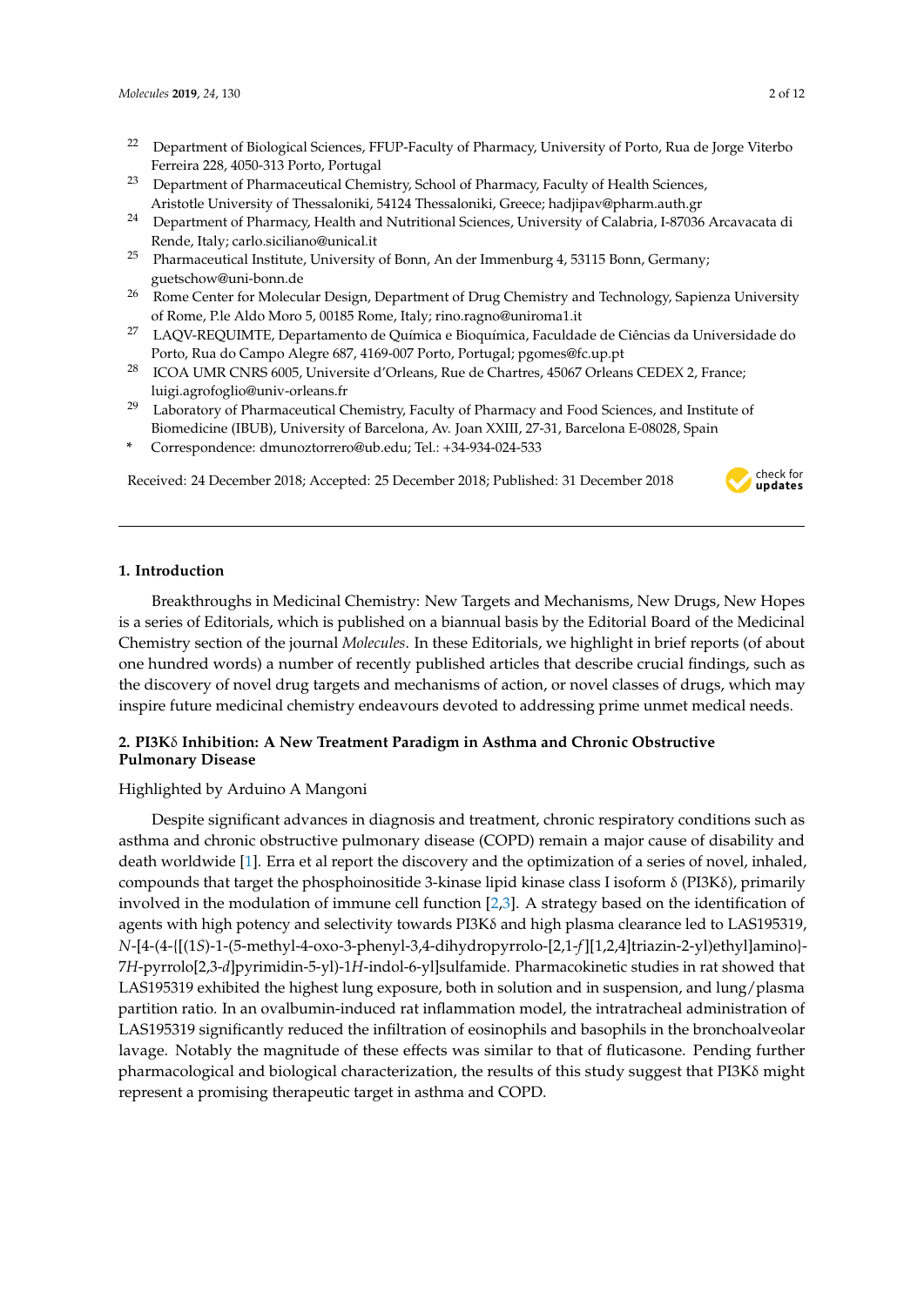- <sup>22</sup> Department of Biological Sciences, FFUP-Faculty of Pharmacy, University of Porto, Rua de Jorge Viterbo Ferreira 228, 4050-313 Porto, Portugal
- <sup>23</sup> Department of Pharmaceutical Chemistry, School of Pharmacy, Faculty of Health Sciences, Aristotle University of Thessaloniki, 54124 Thessaloniki, Greece; hadjipav@pharm.auth.gr
- <sup>24</sup> Department of Pharmacy, Health and Nutritional Sciences, University of Calabria, I-87036 Arcavacata di Rende, Italy; carlo.siciliano@unical.it
- <sup>25</sup> Pharmaceutical Institute, University of Bonn, An der Immenburg 4, 53115 Bonn, Germany; guetschow@uni-bonn.de
- <sup>26</sup> Rome Center for Molecular Design, Department of Drug Chemistry and Technology, Sapienza University of Rome, P.le Aldo Moro 5, 00185 Rome, Italy; rino.ragno@uniroma1.it
- <sup>27</sup> LAQV-REQUIMTE, Departamento de Química e Bioquímica, Faculdade de Ciências da Universidade do Porto, Rua do Campo Alegre 687, 4169-007 Porto, Portugal; pgomes@fc.up.pt
- <sup>28</sup> ICOA UMR CNRS 6005, Universite d'Orleans, Rue de Chartres, 45067 Orleans CEDEX 2, France; luigi.agrofoglio@univ-orleans.fr
- <sup>29</sup> Laboratory of Pharmaceutical Chemistry, Faculty of Pharmacy and Food Sciences, and Institute of Biomedicine (IBUB), University of Barcelona, Av. Joan XXIII, 27-31, Barcelona E-08028, Spain
- **\*** Correspondence: dmunoztorrero@ub.edu; Tel.: +34-934-024-533

Received: 24 December 2018; Accepted: 25 December 2018; Published: 31 December 2018



## **1. Introduction**

Breakthroughs in Medicinal Chemistry: New Targets and Mechanisms, New Drugs, New Hopes is a series of Editorials, which is published on a biannual basis by the Editorial Board of the Medicinal Chemistry section of the journal *Molecules*. In these Editorials, we highlight in brief reports (of about one hundred words) a number of recently published articles that describe crucial findings, such as the discovery of novel drug targets and mechanisms of action, or novel classes of drugs, which may inspire future medicinal chemistry endeavours devoted to addressing prime unmet medical needs.

## **2. PI3K**δ **Inhibition: A New Treatment Paradigm in Asthma and Chronic Obstructive Pulmonary Disease**

## Highlighted by Arduino A Mangoni

Despite significant advances in diagnosis and treatment, chronic respiratory conditions such as asthma and chronic obstructive pulmonary disease (COPD) remain a major cause of disability and death worldwide [\[1\]](#page-10-0). Erra et al report the discovery and the optimization of a series of novel, inhaled, compounds that target the phosphoinositide 3-kinase lipid kinase class I isoform  $\delta$  (PI3K $\delta$ ), primarily involved in the modulation of immune cell function [\[2](#page-10-1)[,3\]](#page-10-2). A strategy based on the identification of agents with high potency and selectivity towards PI3Kδ and high plasma clearance led to LAS195319, *N*-[4-(4-{[(1*S*)-1-(5-methyl-4-oxo-3-phenyl-3,4-dihydropyrrolo-[2,1-*f*][1,2,4]triazin-2-yl)ethyl]amino}- 7*H*-pyrrolo[2,3-*d*]pyrimidin-5-yl)-1*H*-indol-6-yl]sulfamide. Pharmacokinetic studies in rat showed that LAS195319 exhibited the highest lung exposure, both in solution and in suspension, and lung/plasma partition ratio. In an ovalbumin-induced rat inflammation model, the intratracheal administration of LAS195319 significantly reduced the infiltration of eosinophils and basophils in the bronchoalveolar lavage. Notably the magnitude of these effects was similar to that of fluticasone. Pending further pharmacological and biological characterization, the results of this study suggest that PI3Kδ might represent a promising therapeutic target in asthma and COPD.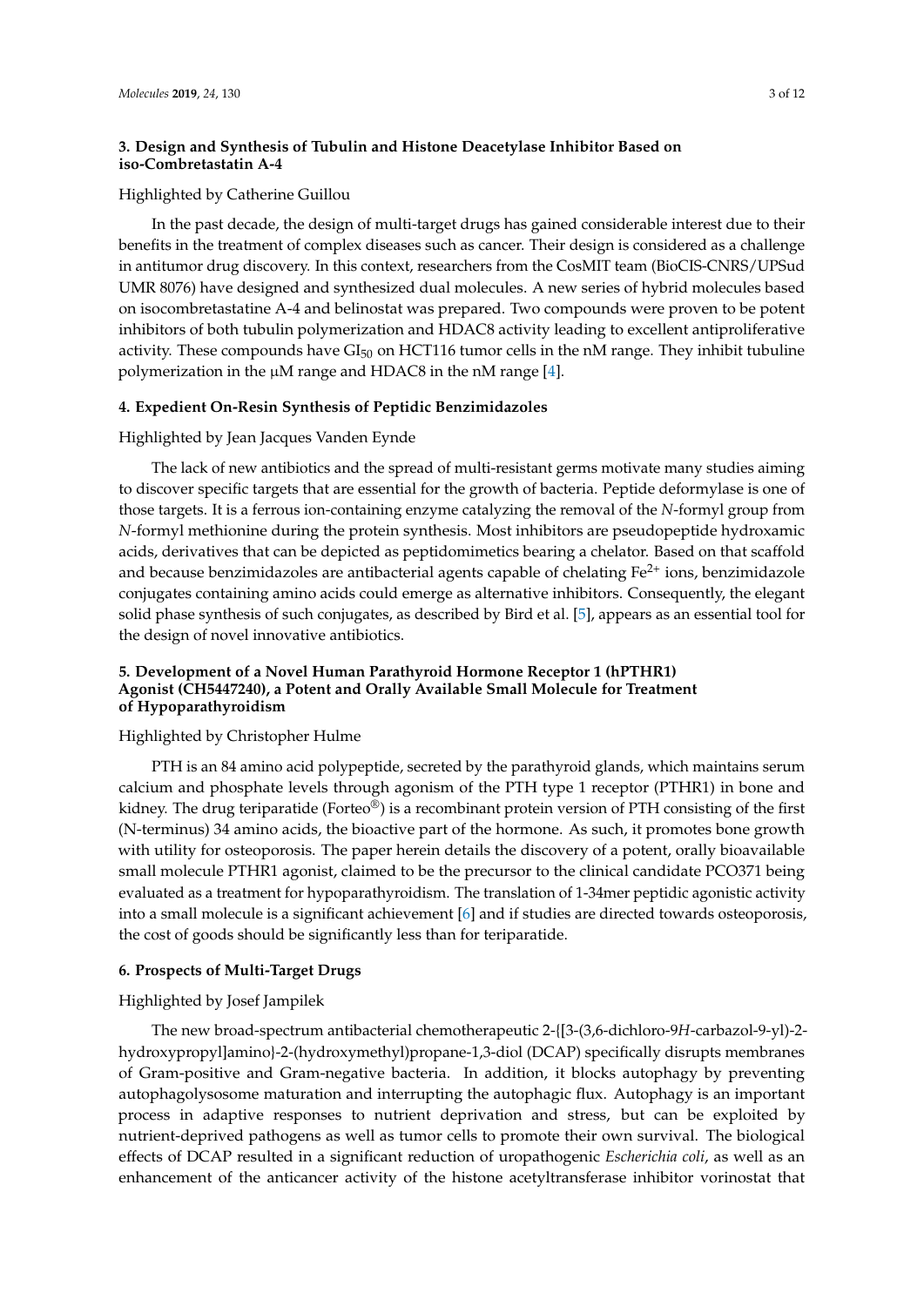## **3. Design and Synthesis of Tubulin and Histone Deacetylase Inhibitor Based on iso-Combretastatin A-4**

#### Highlighted by Catherine Guillou

In the past decade, the design of multi-target drugs has gained considerable interest due to their benefits in the treatment of complex diseases such as cancer. Their design is considered as a challenge in antitumor drug discovery. In this context, researchers from the CosMIT team (BioCIS-CNRS/UPSud UMR 8076) have designed and synthesized dual molecules. A new series of hybrid molecules based on isocombretastatine A-4 and belinostat was prepared. Two compounds were proven to be potent inhibitors of both tubulin polymerization and HDAC8 activity leading to excellent antiproliferative activity. These compounds have  $GI_{50}$  on HCT116 tumor cells in the nM range. They inhibit tubuline polymerization in the  $\mu$ M range and HDAC8 in the nM range [\[4\]](#page-10-3).

#### **4. Expedient On-Resin Synthesis of Peptidic Benzimidazoles**

#### Highlighted by Jean Jacques Vanden Eynde

The lack of new antibiotics and the spread of multi-resistant germs motivate many studies aiming to discover specific targets that are essential for the growth of bacteria. Peptide deformylase is one of those targets. It is a ferrous ion-containing enzyme catalyzing the removal of the *N*-formyl group from *N*-formyl methionine during the protein synthesis. Most inhibitors are pseudopeptide hydroxamic acids, derivatives that can be depicted as peptidomimetics bearing a chelator. Based on that scaffold and because benzimidazoles are antibacterial agents capable of chelating  $Fe<sup>2+</sup>$  ions, benzimidazole conjugates containing amino acids could emerge as alternative inhibitors. Consequently, the elegant solid phase synthesis of such conjugates, as described by Bird et al. [\[5\]](#page-10-4), appears as an essential tool for the design of novel innovative antibiotics.

## **5. Development of a Novel Human Parathyroid Hormone Receptor 1 (hPTHR1) Agonist (CH5447240), a Potent and Orally Available Small Molecule for Treatment of Hypoparathyroidism**

## Highlighted by Christopher Hulme

PTH is an 84 amino acid polypeptide, secreted by the parathyroid glands, which maintains serum calcium and phosphate levels through agonism of the PTH type 1 receptor (PTHR1) in bone and kidney. The drug teriparatide (Forteo<sup>®</sup>) is a recombinant protein version of PTH consisting of the first (N-terminus) 34 amino acids, the bioactive part of the hormone. As such, it promotes bone growth with utility for osteoporosis. The paper herein details the discovery of a potent, orally bioavailable small molecule PTHR1 agonist, claimed to be the precursor to the clinical candidate PCO371 being evaluated as a treatment for hypoparathyroidism. The translation of 1-34mer peptidic agonistic activity into a small molecule is a significant achievement [\[6\]](#page-11-0) and if studies are directed towards osteoporosis, the cost of goods should be significantly less than for teriparatide.

#### **6. Prospects of Multi-Target Drugs**

#### Highlighted by Josef Jampilek

The new broad-spectrum antibacterial chemotherapeutic 2-{[3-(3,6-dichloro-9*H*-carbazol-9-yl)-2 hydroxypropyl]amino}-2-(hydroxymethyl)propane-1,3-diol (DCAP) specifically disrupts membranes of Gram-positive and Gram-negative bacteria. In addition, it blocks autophagy by preventing autophagolysosome maturation and interrupting the autophagic flux. Autophagy is an important process in adaptive responses to nutrient deprivation and stress, but can be exploited by nutrient-deprived pathogens as well as tumor cells to promote their own survival. The biological effects of DCAP resulted in a significant reduction of uropathogenic *Escherichia coli*, as well as an enhancement of the anticancer activity of the histone acetyltransferase inhibitor vorinostat that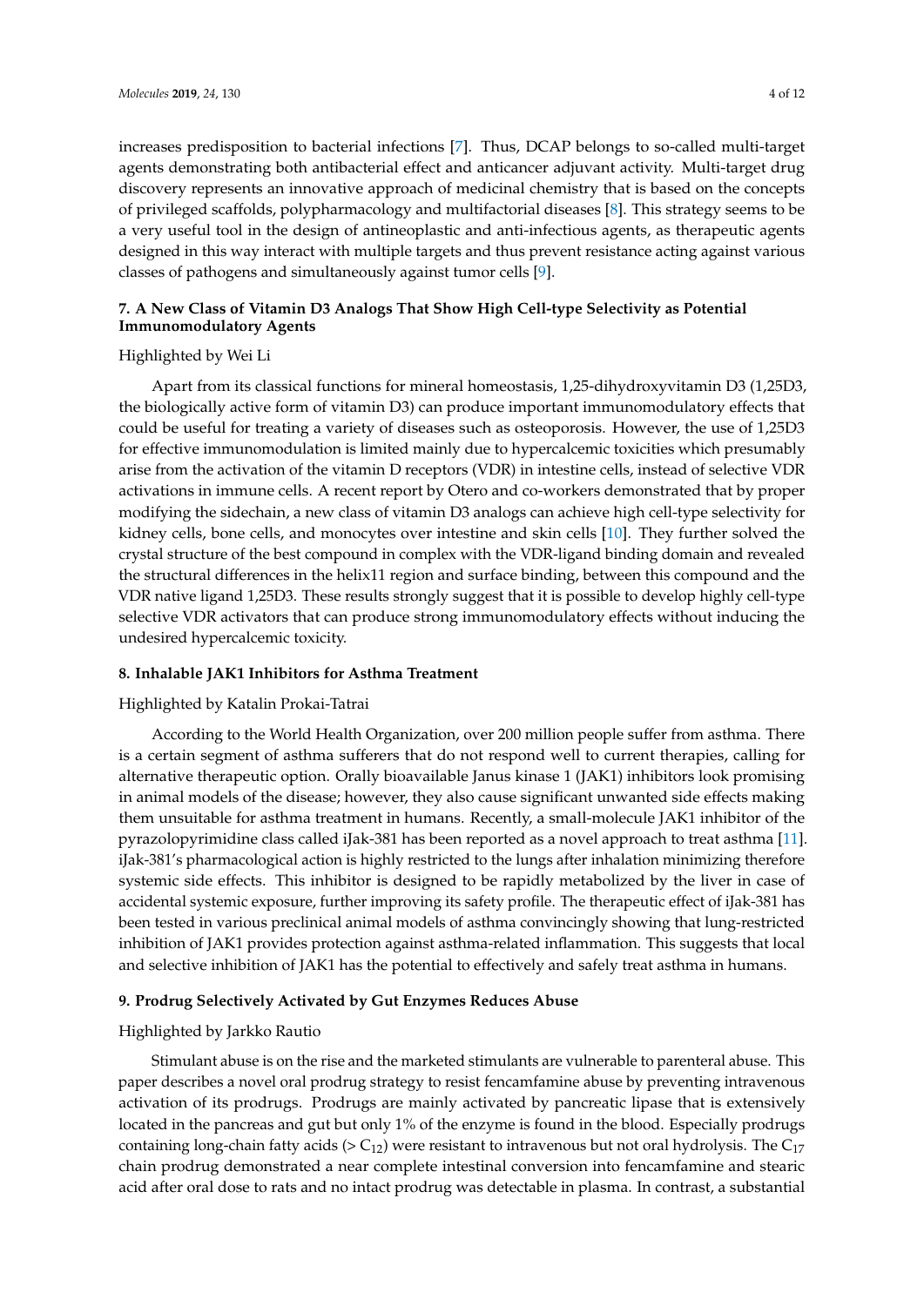increases predisposition to bacterial infections [\[7\]](#page-11-1). Thus, DCAP belongs to so-called multi-target agents demonstrating both antibacterial effect and anticancer adjuvant activity. Multi-target drug discovery represents an innovative approach of medicinal chemistry that is based on the concepts of privileged scaffolds, polypharmacology and multifactorial diseases [\[8\]](#page-11-2). This strategy seems to be a very useful tool in the design of antineoplastic and anti-infectious agents, as therapeutic agents designed in this way interact with multiple targets and thus prevent resistance acting against various classes of pathogens and simultaneously against tumor cells [\[9\]](#page-11-3).

## **7. A New Class of Vitamin D3 Analogs That Show High Cell-type Selectivity as Potential Immunomodulatory Agents**

## Highlighted by Wei Li

Apart from its classical functions for mineral homeostasis, 1,25-dihydroxyvitamin D3 (1,25D3, the biologically active form of vitamin D3) can produce important immunomodulatory effects that could be useful for treating a variety of diseases such as osteoporosis. However, the use of 1,25D3 for effective immunomodulation is limited mainly due to hypercalcemic toxicities which presumably arise from the activation of the vitamin D receptors (VDR) in intestine cells, instead of selective VDR activations in immune cells. A recent report by Otero and co-workers demonstrated that by proper modifying the sidechain, a new class of vitamin D3 analogs can achieve high cell-type selectivity for kidney cells, bone cells, and monocytes over intestine and skin cells [\[10\]](#page-11-4). They further solved the crystal structure of the best compound in complex with the VDR-ligand binding domain and revealed the structural differences in the helix11 region and surface binding, between this compound and the VDR native ligand 1,25D3. These results strongly suggest that it is possible to develop highly cell-type selective VDR activators that can produce strong immunomodulatory effects without inducing the undesired hypercalcemic toxicity.

#### **8. Inhalable JAK1 Inhibitors for Asthma Treatment**

#### Highlighted by Katalin Prokai-Tatrai

According to the World Health Organization, over 200 million people suffer from asthma. There is a certain segment of asthma sufferers that do not respond well to current therapies, calling for alternative therapeutic option. Orally bioavailable Janus kinase 1 (JAK1) inhibitors look promising in animal models of the disease; however, they also cause significant unwanted side effects making them unsuitable for asthma treatment in humans. Recently, a small-molecule JAK1 inhibitor of the pyrazolopyrimidine class called iJak-381 has been reported as a novel approach to treat asthma [\[11\]](#page-11-5). iJak-381's pharmacological action is highly restricted to the lungs after inhalation minimizing therefore systemic side effects. This inhibitor is designed to be rapidly metabolized by the liver in case of accidental systemic exposure, further improving its safety profile. The therapeutic effect of iJak-381 has been tested in various preclinical animal models of asthma convincingly showing that lung-restricted inhibition of JAK1 provides protection against asthma-related inflammation. This suggests that local and selective inhibition of JAK1 has the potential to effectively and safely treat asthma in humans.

#### **9. Prodrug Selectively Activated by Gut Enzymes Reduces Abuse**

#### Highlighted by Jarkko Rautio

Stimulant abuse is on the rise and the marketed stimulants are vulnerable to parenteral abuse. This paper describes a novel oral prodrug strategy to resist fencamfamine abuse by preventing intravenous activation of its prodrugs. Prodrugs are mainly activated by pancreatic lipase that is extensively located in the pancreas and gut but only 1% of the enzyme is found in the blood. Especially prodrugs containing long-chain fatty acids ( $>C_{12}$ ) were resistant to intravenous but not oral hydrolysis. The  $C_{17}$ chain prodrug demonstrated a near complete intestinal conversion into fencamfamine and stearic acid after oral dose to rats and no intact prodrug was detectable in plasma. In contrast, a substantial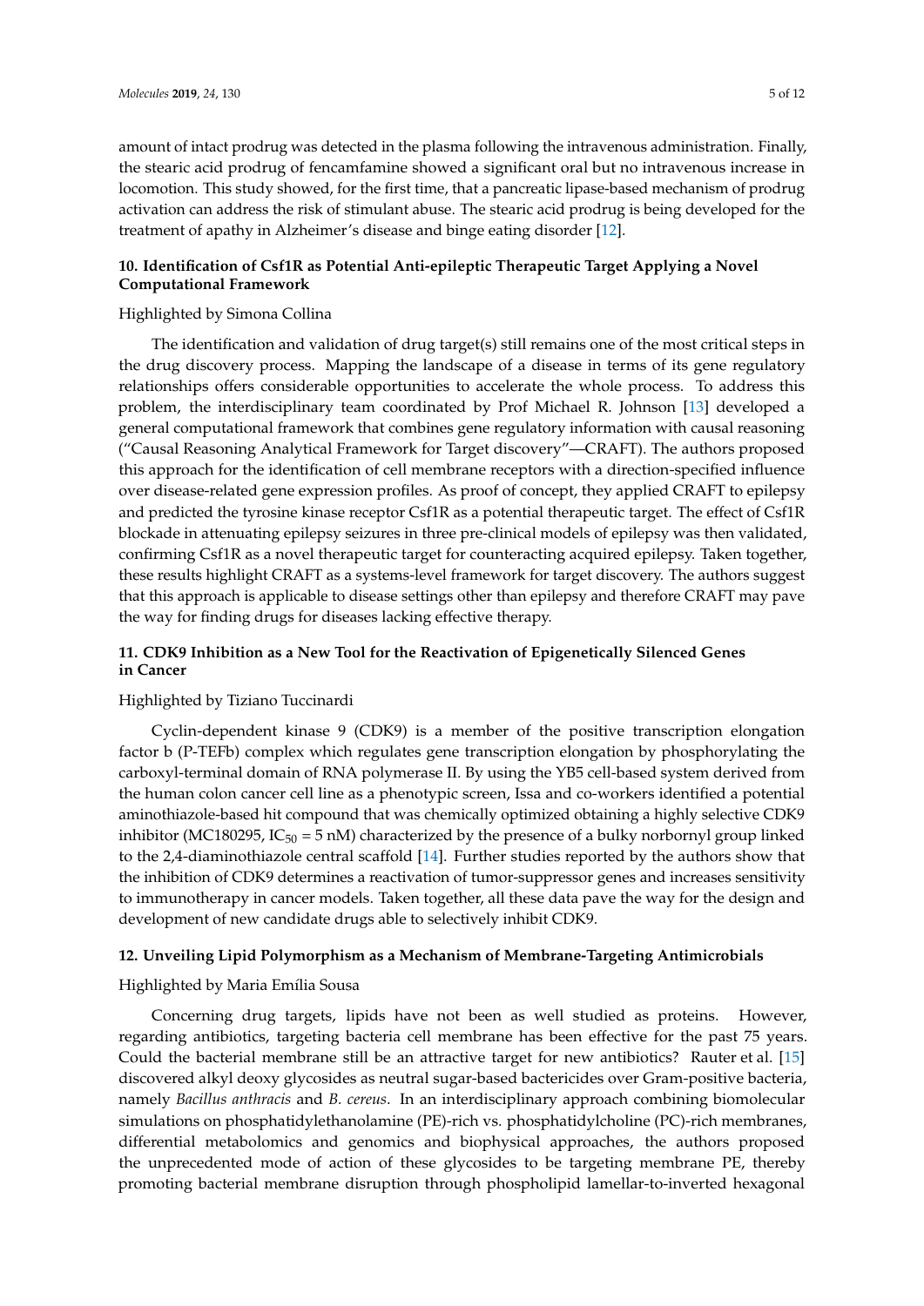amount of intact prodrug was detected in the plasma following the intravenous administration. Finally, the stearic acid prodrug of fencamfamine showed a significant oral but no intravenous increase in locomotion. This study showed, for the first time, that a pancreatic lipase-based mechanism of prodrug activation can address the risk of stimulant abuse. The stearic acid prodrug is being developed for the treatment of apathy in Alzheimer's disease and binge eating disorder [\[12\]](#page-11-6).

## **10. Identification of Csf1R as Potential Anti-epileptic Therapeutic Target Applying a Novel Computational Framework**

## Highlighted by Simona Collina

The identification and validation of drug target(s) still remains one of the most critical steps in the drug discovery process. Mapping the landscape of a disease in terms of its gene regulatory relationships offers considerable opportunities to accelerate the whole process. To address this problem, the interdisciplinary team coordinated by Prof Michael R. Johnson [\[13\]](#page-11-7) developed a general computational framework that combines gene regulatory information with causal reasoning ("Causal Reasoning Analytical Framework for Target discovery"—CRAFT). The authors proposed this approach for the identification of cell membrane receptors with a direction-specified influence over disease-related gene expression profiles. As proof of concept, they applied CRAFT to epilepsy and predicted the tyrosine kinase receptor Csf1R as a potential therapeutic target. The effect of Csf1R blockade in attenuating epilepsy seizures in three pre-clinical models of epilepsy was then validated, confirming Csf1R as a novel therapeutic target for counteracting acquired epilepsy. Taken together, these results highlight CRAFT as a systems-level framework for target discovery. The authors suggest that this approach is applicable to disease settings other than epilepsy and therefore CRAFT may pave the way for finding drugs for diseases lacking effective therapy.

## **11. CDK9 Inhibition as a New Tool for the Reactivation of Epigenetically Silenced Genes in Cancer**

## Highlighted by Tiziano Tuccinardi

Cyclin-dependent kinase 9 (CDK9) is a member of the positive transcription elongation factor b (P-TEFb) complex which regulates gene transcription elongation by phosphorylating the carboxyl-terminal domain of RNA polymerase II. By using the YB5 cell-based system derived from the human colon cancer cell line as a phenotypic screen, Issa and co-workers identified a potential aminothiazole-based hit compound that was chemically optimized obtaining a highly selective CDK9 inhibitor (MC180295,  $IC_{50} = 5$  nM) characterized by the presence of a bulky norbornyl group linked to the 2,4-diaminothiazole central scaffold [\[14\]](#page-11-8). Further studies reported by the authors show that the inhibition of CDK9 determines a reactivation of tumor-suppressor genes and increases sensitivity to immunotherapy in cancer models. Taken together, all these data pave the way for the design and development of new candidate drugs able to selectively inhibit CDK9.

## **12. Unveiling Lipid Polymorphism as a Mechanism of Membrane-Targeting Antimicrobials**

## Highlighted by Maria Emília Sousa

Concerning drug targets, lipids have not been as well studied as proteins. However, regarding antibiotics, targeting bacteria cell membrane has been effective for the past 75 years. Could the bacterial membrane still be an attractive target for new antibiotics? Rauter et al. [\[15\]](#page-11-9) discovered alkyl deoxy glycosides as neutral sugar-based bactericides over Gram-positive bacteria, namely *Bacillus anthracis* and *B. cereus*. In an interdisciplinary approach combining biomolecular simulations on phosphatidylethanolamine (PE)-rich vs. phosphatidylcholine (PC)-rich membranes, differential metabolomics and genomics and biophysical approaches, the authors proposed the unprecedented mode of action of these glycosides to be targeting membrane PE, thereby promoting bacterial membrane disruption through phospholipid lamellar-to-inverted hexagonal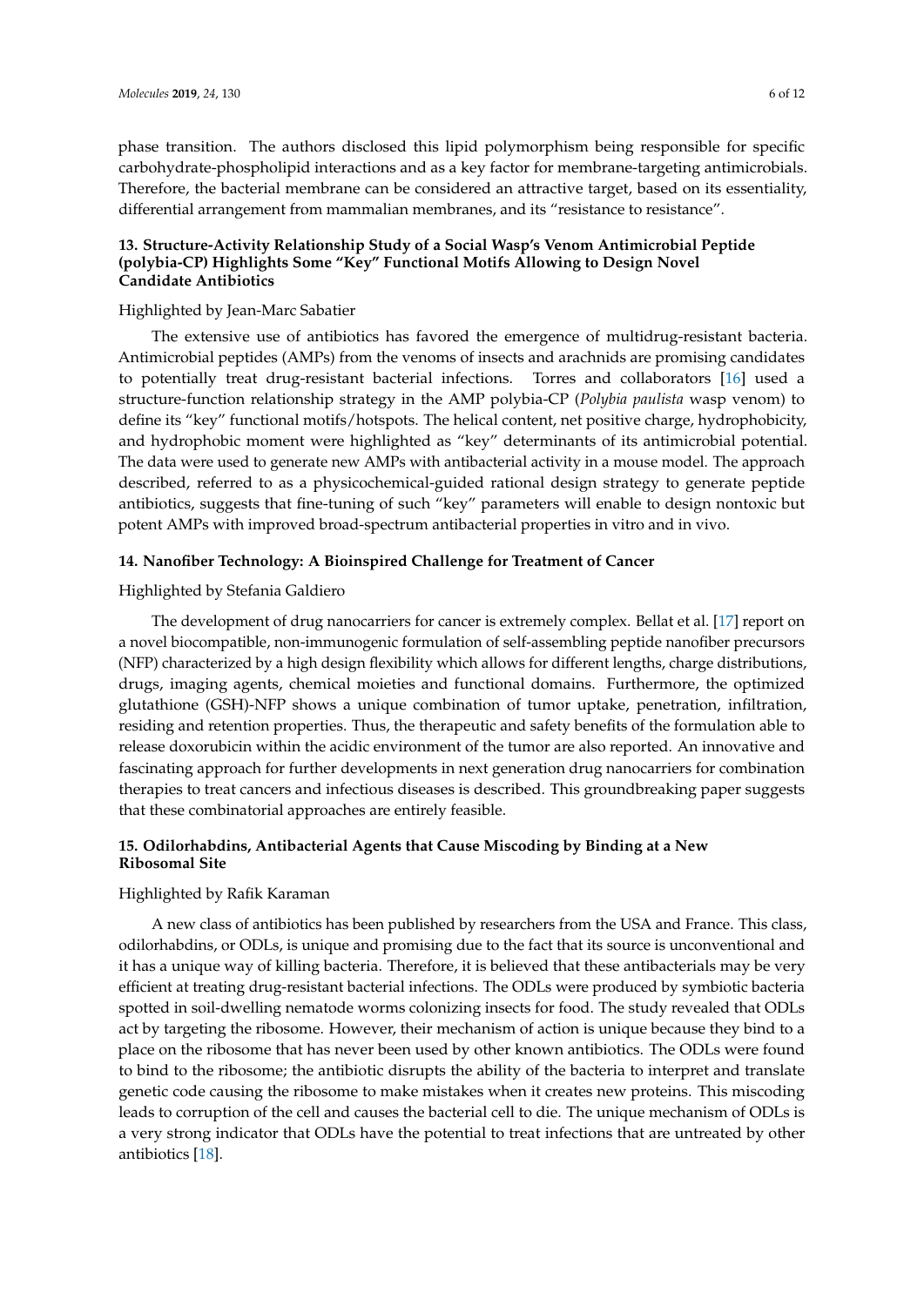phase transition. The authors disclosed this lipid polymorphism being responsible for specific carbohydrate-phospholipid interactions and as a key factor for membrane-targeting antimicrobials. Therefore, the bacterial membrane can be considered an attractive target, based on its essentiality, differential arrangement from mammalian membranes, and its "resistance to resistance".

## **13. Structure-Activity Relationship Study of a Social Wasp's Venom Antimicrobial Peptide (polybia-CP) Highlights Some "Key" Functional Motifs Allowing to Design Novel Candidate Antibiotics**

## Highlighted by Jean-Marc Sabatier

The extensive use of antibiotics has favored the emergence of multidrug-resistant bacteria. Antimicrobial peptides (AMPs) from the venoms of insects and arachnids are promising candidates to potentially treat drug-resistant bacterial infections. Torres and collaborators [\[16\]](#page-11-10) used a structure-function relationship strategy in the AMP polybia-CP (*Polybia paulista* wasp venom) to define its "key" functional motifs/hotspots. The helical content, net positive charge, hydrophobicity, and hydrophobic moment were highlighted as "key" determinants of its antimicrobial potential. The data were used to generate new AMPs with antibacterial activity in a mouse model. The approach described, referred to as a physicochemical-guided rational design strategy to generate peptide antibiotics, suggests that fine-tuning of such "key" parameters will enable to design nontoxic but potent AMPs with improved broad-spectrum antibacterial properties in vitro and in vivo.

## **14. Nanofiber Technology: A Bioinspired Challenge for Treatment of Cancer**

## Highlighted by Stefania Galdiero

The development of drug nanocarriers for cancer is extremely complex. Bellat et al. [\[17\]](#page-11-11) report on a novel biocompatible, non-immunogenic formulation of self-assembling peptide nanofiber precursors (NFP) characterized by a high design flexibility which allows for different lengths, charge distributions, drugs, imaging agents, chemical moieties and functional domains. Furthermore, the optimized glutathione (GSH)-NFP shows a unique combination of tumor uptake, penetration, infiltration, residing and retention properties. Thus, the therapeutic and safety benefits of the formulation able to release doxorubicin within the acidic environment of the tumor are also reported. An innovative and fascinating approach for further developments in next generation drug nanocarriers for combination therapies to treat cancers and infectious diseases is described. This groundbreaking paper suggests that these combinatorial approaches are entirely feasible.

## **15. Odilorhabdins, Antibacterial Agents that Cause Miscoding by Binding at a New Ribosomal Site**

## Highlighted by Rafik Karaman

A new class of antibiotics has been published by researchers from the USA and France. This class, odilorhabdins, or ODLs, is unique and promising due to the fact that its source is unconventional and it has a unique way of killing bacteria. Therefore, it is believed that these antibacterials may be very efficient at treating drug-resistant bacterial infections. The ODLs were produced by symbiotic bacteria spotted in soil-dwelling nematode worms colonizing insects for food. The study revealed that ODLs act by targeting the ribosome. However, their mechanism of action is unique because they bind to a place on the ribosome that has never been used by other known antibiotics. The ODLs were found to bind to the ribosome; the antibiotic disrupts the ability of the bacteria to interpret and translate genetic code causing the ribosome to make mistakes when it creates new proteins. This miscoding leads to corruption of the cell and causes the bacterial cell to die. The unique mechanism of ODLs is a very strong indicator that ODLs have the potential to treat infections that are untreated by other antibiotics [\[18\]](#page-11-12).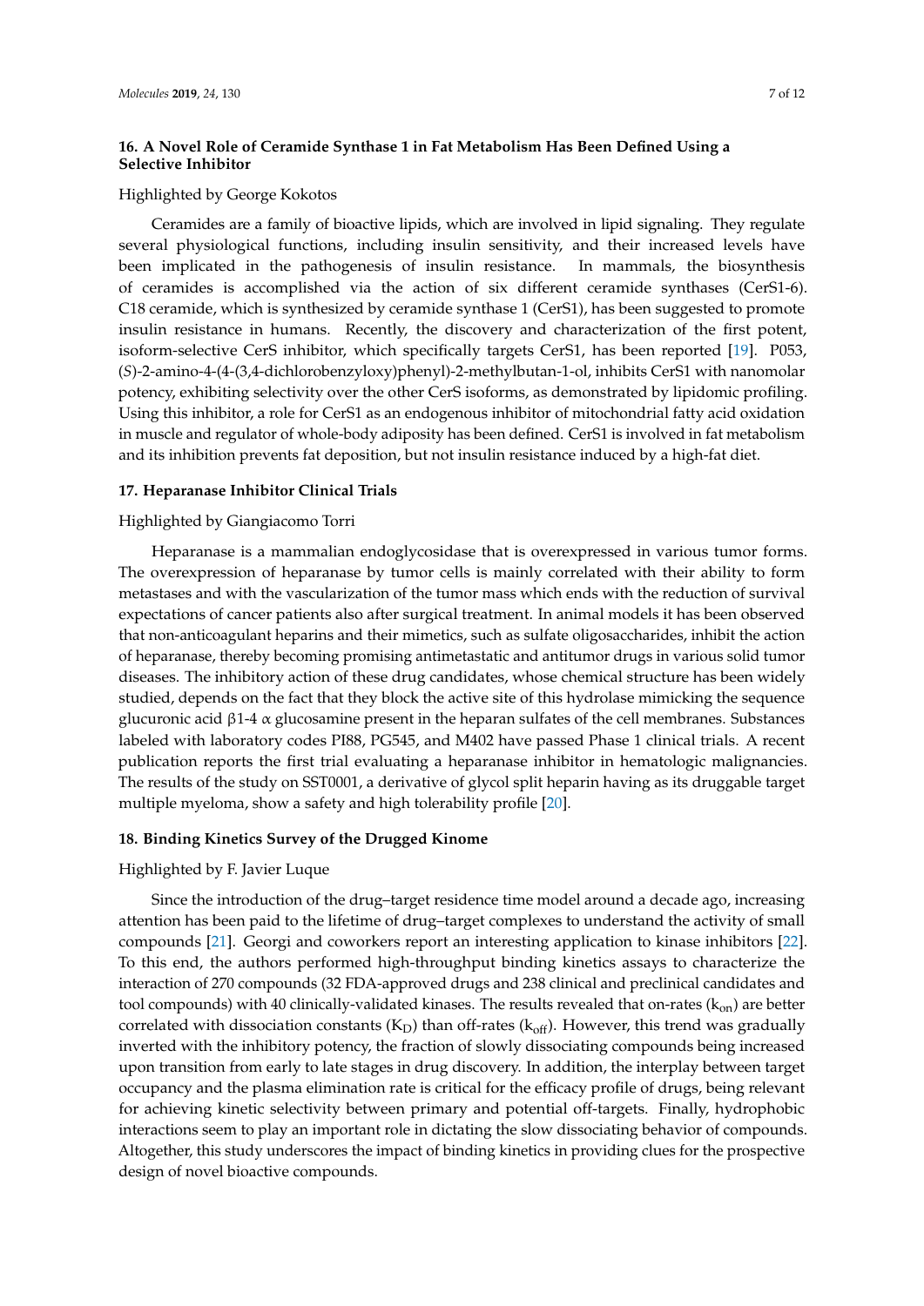## **16. A Novel Role of Ceramide Synthase 1 in Fat Metabolism Has Been Defined Using a Selective Inhibitor**

#### Highlighted by George Kokotos

Ceramides are a family of bioactive lipids, which are involved in lipid signaling. They regulate several physiological functions, including insulin sensitivity, and their increased levels have been implicated in the pathogenesis of insulin resistance. In mammals, the biosynthesis of ceramides is accomplished via the action of six different ceramide synthases (CerS1-6). C18 ceramide, which is synthesized by ceramide synthase 1 (CerS1), has been suggested to promote insulin resistance in humans. Recently, the discovery and characterization of the first potent, isoform-selective CerS inhibitor, which specifically targets CerS1, has been reported [\[19\]](#page-11-13). P053, (*S*)-2-amino-4-(4-(3,4-dichlorobenzyloxy)phenyl)-2-methylbutan-1-ol, inhibits CerS1 with nanomolar potency, exhibiting selectivity over the other CerS isoforms, as demonstrated by lipidomic profiling. Using this inhibitor, a role for CerS1 as an endogenous inhibitor of mitochondrial fatty acid oxidation in muscle and regulator of whole-body adiposity has been defined. CerS1 is involved in fat metabolism and its inhibition prevents fat deposition, but not insulin resistance induced by a high-fat diet.

#### **17. Heparanase Inhibitor Clinical Trials**

## Highlighted by Giangiacomo Torri

Heparanase is a mammalian endoglycosidase that is overexpressed in various tumor forms. The overexpression of heparanase by tumor cells is mainly correlated with their ability to form metastases and with the vascularization of the tumor mass which ends with the reduction of survival expectations of cancer patients also after surgical treatment. In animal models it has been observed that non-anticoagulant heparins and their mimetics, such as sulfate oligosaccharides, inhibit the action of heparanase, thereby becoming promising antimetastatic and antitumor drugs in various solid tumor diseases. The inhibitory action of these drug candidates, whose chemical structure has been widely studied, depends on the fact that they block the active site of this hydrolase mimicking the sequence glucuronic acid β1-4 α glucosamine present in the heparan sulfates of the cell membranes. Substances labeled with laboratory codes PI88, PG545, and M402 have passed Phase 1 clinical trials. A recent publication reports the first trial evaluating a heparanase inhibitor in hematologic malignancies. The results of the study on SST0001, a derivative of glycol split heparin having as its druggable target multiple myeloma, show a safety and high tolerability profile [\[20\]](#page-11-14).

#### **18. Binding Kinetics Survey of the Drugged Kinome**

#### Highlighted by F. Javier Luque

Since the introduction of the drug–target residence time model around a decade ago, increasing attention has been paid to the lifetime of drug–target complexes to understand the activity of small compounds [\[21\]](#page-11-15). Georgi and coworkers report an interesting application to kinase inhibitors [\[22\]](#page-11-16). To this end, the authors performed high-throughput binding kinetics assays to characterize the interaction of 270 compounds (32 FDA-approved drugs and 238 clinical and preclinical candidates and tool compounds) with 40 clinically-validated kinases. The results revealed that on-rates ( $k_{on}$ ) are better correlated with dissociation constants  $(K_D)$  than off-rates  $(k_{off})$ . However, this trend was gradually inverted with the inhibitory potency, the fraction of slowly dissociating compounds being increased upon transition from early to late stages in drug discovery. In addition, the interplay between target occupancy and the plasma elimination rate is critical for the efficacy profile of drugs, being relevant for achieving kinetic selectivity between primary and potential off-targets. Finally, hydrophobic interactions seem to play an important role in dictating the slow dissociating behavior of compounds. Altogether, this study underscores the impact of binding kinetics in providing clues for the prospective design of novel bioactive compounds.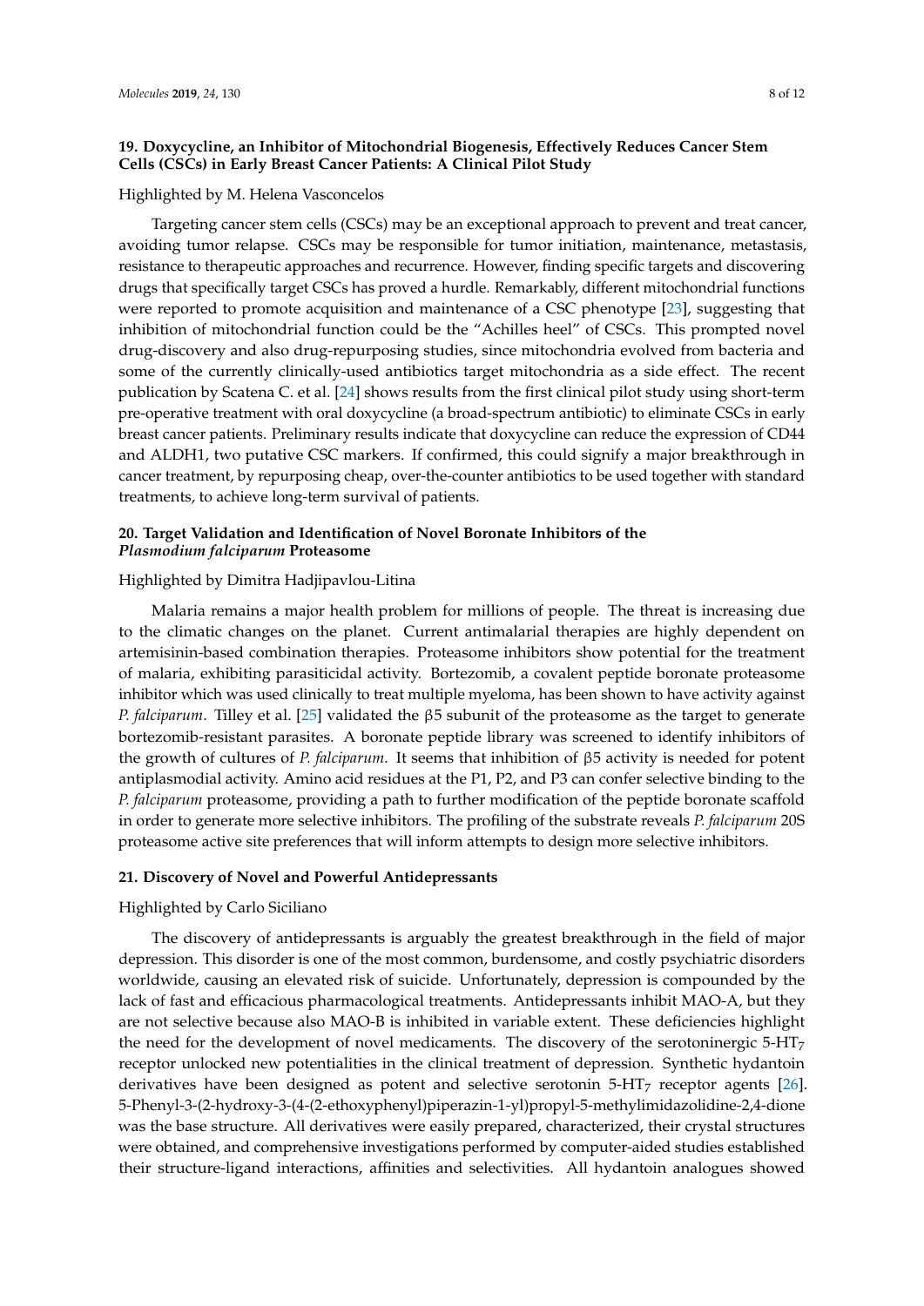## **19. Doxycycline, an Inhibitor of Mitochondrial Biogenesis, Effectively Reduces Cancer Stem Cells (CSCs) in Early Breast Cancer Patients: A Clinical Pilot Study**

#### Highlighted by M. Helena Vasconcelos

Targeting cancer stem cells (CSCs) may be an exceptional approach to prevent and treat cancer, avoiding tumor relapse. CSCs may be responsible for tumor initiation, maintenance, metastasis, resistance to therapeutic approaches and recurrence. However, finding specific targets and discovering drugs that specifically target CSCs has proved a hurdle. Remarkably, different mitochondrial functions were reported to promote acquisition and maintenance of a CSC phenotype [\[23\]](#page-11-17), suggesting that inhibition of mitochondrial function could be the "Achilles heel" of CSCs. This prompted novel drug-discovery and also drug-repurposing studies, since mitochondria evolved from bacteria and some of the currently clinically-used antibiotics target mitochondria as a side effect. The recent publication by Scatena C. et al. [\[24\]](#page-12-0) shows results from the first clinical pilot study using short-term pre-operative treatment with oral doxycycline (a broad-spectrum antibiotic) to eliminate CSCs in early breast cancer patients. Preliminary results indicate that doxycycline can reduce the expression of CD44 and ALDH1, two putative CSC markers. If confirmed, this could signify a major breakthrough in cancer treatment, by repurposing cheap, over-the-counter antibiotics to be used together with standard treatments, to achieve long-term survival of patients.

## **20. Target Validation and Identification of Novel Boronate Inhibitors of the** *Plasmodium falciparum* **Proteasome**

#### Highlighted by Dimitra Hadjipavlou-Litina

Malaria remains a major health problem for millions of people. The threat is increasing due to the climatic changes on the planet. Current antimalarial therapies are highly dependent on artemisinin-based combination therapies. Proteasome inhibitors show potential for the treatment of malaria, exhibiting parasiticidal activity. Bortezomib, a covalent peptide boronate proteasome inhibitor which was used clinically to treat multiple myeloma, has been shown to have activity against *P. falciparum*. Tilley et al. [\[25\]](#page-12-1) validated the β5 subunit of the proteasome as the target to generate bortezomib-resistant parasites. A boronate peptide library was screened to identify inhibitors of the growth of cultures of *P. falciparum*. It seems that inhibition of β5 activity is needed for potent antiplasmodial activity. Amino acid residues at the P1, P2, and P3 can confer selective binding to the *P. falciparum* proteasome, providing a path to further modification of the peptide boronate scaffold in order to generate more selective inhibitors. The profiling of the substrate reveals *P. falciparum* 20S proteasome active site preferences that will inform attempts to design more selective inhibitors.

#### **21. Discovery of Novel and Powerful Antidepressants**

## Highlighted by Carlo Siciliano

The discovery of antidepressants is arguably the greatest breakthrough in the field of major depression. This disorder is one of the most common, burdensome, and costly psychiatric disorders worldwide, causing an elevated risk of suicide. Unfortunately, depression is compounded by the lack of fast and efficacious pharmacological treatments. Antidepressants inhibit MAO-A, but they are not selective because also MAO-B is inhibited in variable extent. These deficiencies highlight the need for the development of novel medicaments. The discovery of the serotoninergic  $5-HT<sub>7</sub>$ receptor unlocked new potentialities in the clinical treatment of depression. Synthetic hydantoin derivatives have been designed as potent and selective serotonin  $5-HT<sub>7</sub>$  receptor agents [\[26\]](#page-12-2). 5-Phenyl-3-(2-hydroxy-3-(4-(2-ethoxyphenyl)piperazin-1-yl)propyl-5-methylimidazolidine-2,4-dione was the base structure. All derivatives were easily prepared, characterized, their crystal structures were obtained, and comprehensive investigations performed by computer-aided studies established their structure-ligand interactions, affinities and selectivities. All hydantoin analogues showed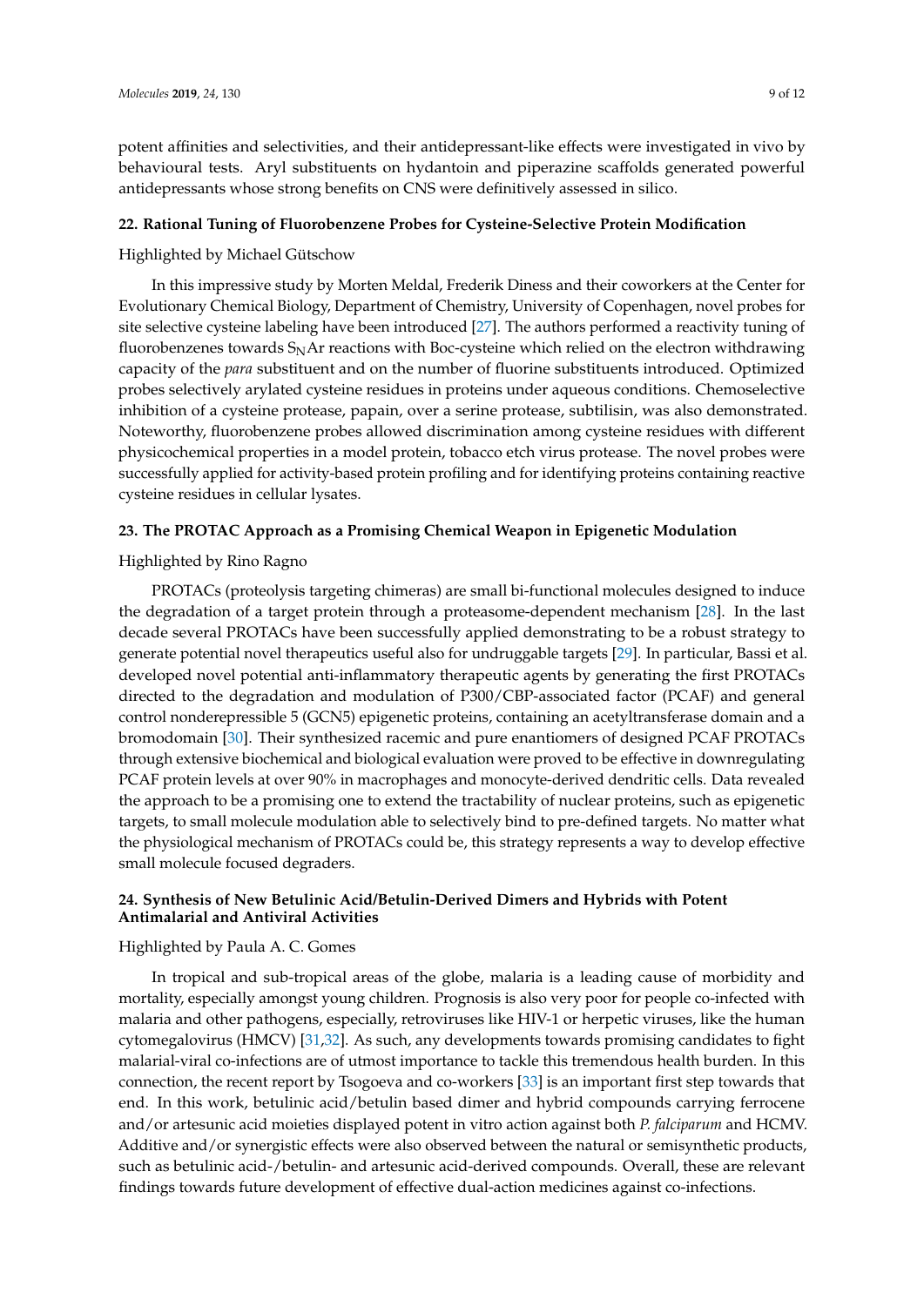potent affinities and selectivities, and their antidepressant-like effects were investigated in vivo by behavioural tests. Aryl substituents on hydantoin and piperazine scaffolds generated powerful antidepressants whose strong benefits on CNS were definitively assessed in silico.

## **22. Rational Tuning of Fluorobenzene Probes for Cysteine-Selective Protein Modification**

Highlighted by Michael Gütschow

In this impressive study by Morten Meldal, Frederik Diness and their coworkers at the Center for Evolutionary Chemical Biology, Department of Chemistry, University of Copenhagen, novel probes for site selective cysteine labeling have been introduced [\[27\]](#page-12-3). The authors performed a reactivity tuning of fluorobenzenes towards  $S_N$ Ar reactions with Boc-cysteine which relied on the electron withdrawing capacity of the *para* substituent and on the number of fluorine substituents introduced. Optimized probes selectively arylated cysteine residues in proteins under aqueous conditions. Chemoselective inhibition of a cysteine protease, papain, over a serine protease, subtilisin, was also demonstrated. Noteworthy, fluorobenzene probes allowed discrimination among cysteine residues with different physicochemical properties in a model protein, tobacco etch virus protease. The novel probes were successfully applied for activity-based protein profiling and for identifying proteins containing reactive cysteine residues in cellular lysates.

## **23. The PROTAC Approach as a Promising Chemical Weapon in Epigenetic Modulation**

## Highlighted by Rino Ragno

PROTACs (proteolysis targeting chimeras) are small bi-functional molecules designed to induce the degradation of a target protein through a proteasome-dependent mechanism [\[28\]](#page-12-4). In the last decade several PROTACs have been successfully applied demonstrating to be a robust strategy to generate potential novel therapeutics useful also for undruggable targets [\[29\]](#page-12-5). In particular, Bassi et al. developed novel potential anti-inflammatory therapeutic agents by generating the first PROTACs directed to the degradation and modulation of P300/CBP-associated factor (PCAF) and general control nonderepressible 5 (GCN5) epigenetic proteins, containing an acetyltransferase domain and a bromodomain [\[30\]](#page-12-6). Their synthesized racemic and pure enantiomers of designed PCAF PROTACs through extensive biochemical and biological evaluation were proved to be effective in downregulating PCAF protein levels at over 90% in macrophages and monocyte-derived dendritic cells. Data revealed the approach to be a promising one to extend the tractability of nuclear proteins, such as epigenetic targets, to small molecule modulation able to selectively bind to pre-defined targets. No matter what the physiological mechanism of PROTACs could be, this strategy represents a way to develop effective small molecule focused degraders.

## **24. Synthesis of New Betulinic Acid/Betulin-Derived Dimers and Hybrids with Potent Antimalarial and Antiviral Activities**

#### Highlighted by Paula A. C. Gomes

In tropical and sub-tropical areas of the globe, malaria is a leading cause of morbidity and mortality, especially amongst young children. Prognosis is also very poor for people co-infected with malaria and other pathogens, especially, retroviruses like HIV-1 or herpetic viruses, like the human cytomegalovirus (HMCV) [\[31,](#page-12-7)[32\]](#page-12-8). As such, any developments towards promising candidates to fight malarial-viral co-infections are of utmost importance to tackle this tremendous health burden. In this connection, the recent report by Tsogoeva and co-workers [\[33\]](#page-12-9) is an important first step towards that end. In this work, betulinic acid/betulin based dimer and hybrid compounds carrying ferrocene and/or artesunic acid moieties displayed potent in vitro action against both *P. falciparum* and HCMV. Additive and/or synergistic effects were also observed between the natural or semisynthetic products, such as betulinic acid-/betulin- and artesunic acid-derived compounds. Overall, these are relevant findings towards future development of effective dual-action medicines against co-infections.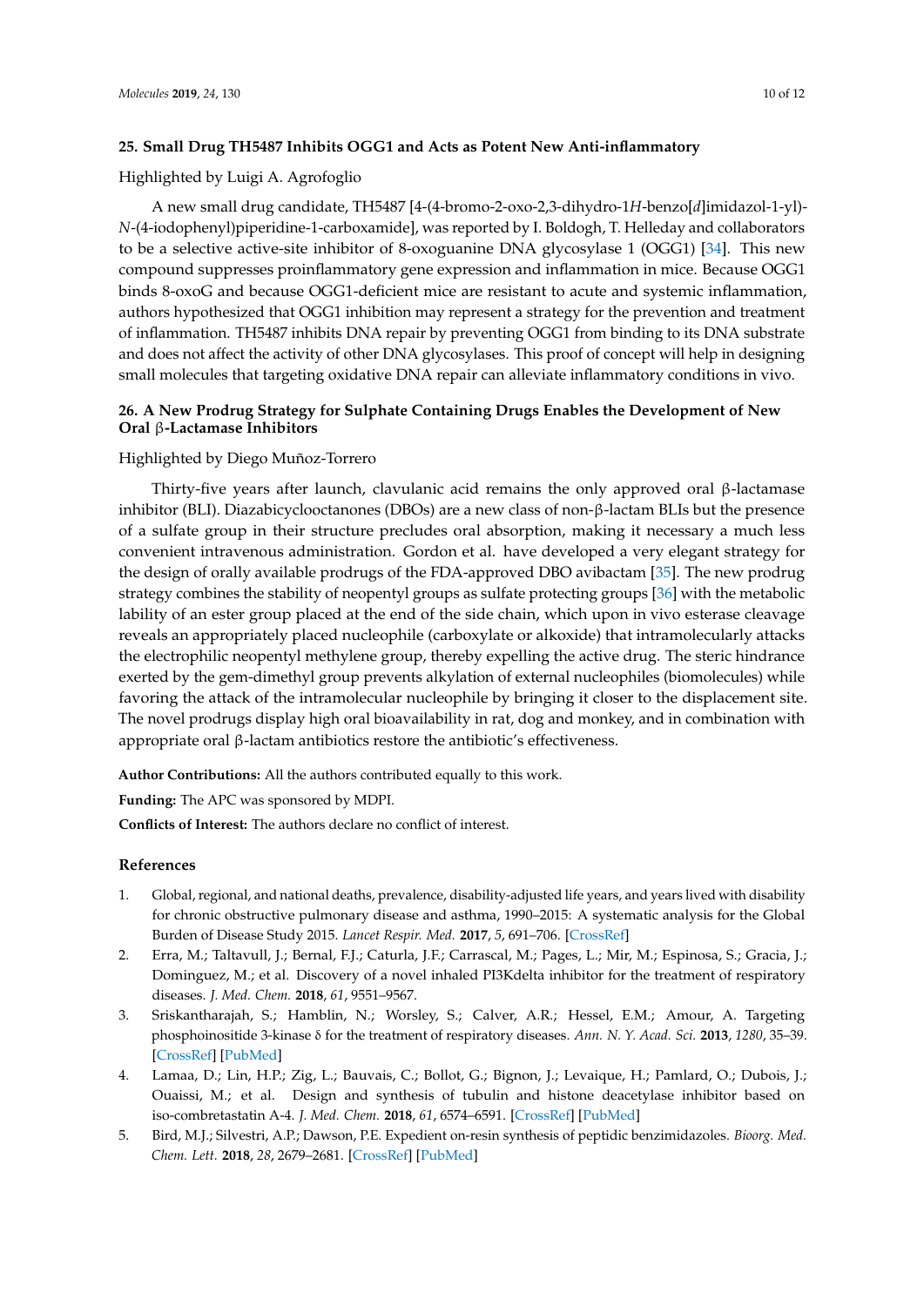## **25. Small Drug TH5487 Inhibits OGG1 and Acts as Potent New Anti-inflammatory**

Highlighted by Luigi A. Agrofoglio

A new small drug candidate, TH5487 [4-(4-bromo-2-oxo-2,3-dihydro-1*H*-benzo[*d*]imidazol-1-yl)- *N*-(4-iodophenyl)piperidine-1-carboxamide], was reported by I. Boldogh, T. Helleday and collaborators to be a selective active-site inhibitor of 8-oxoguanine DNA glycosylase 1 (OGG1) [\[34\]](#page-12-10). This new compound suppresses proinflammatory gene expression and inflammation in mice. Because OGG1 binds 8-oxoG and because OGG1-deficient mice are resistant to acute and systemic inflammation, authors hypothesized that OGG1 inhibition may represent a strategy for the prevention and treatment of inflammation. TH5487 inhibits DNA repair by preventing OGG1 from binding to its DNA substrate and does not affect the activity of other DNA glycosylases. This proof of concept will help in designing small molecules that targeting oxidative DNA repair can alleviate inflammatory conditions in vivo.

## **26. A New Prodrug Strategy for Sulphate Containing Drugs Enables the Development of New Oral** β**-Lactamase Inhibitors**

#### Highlighted by Diego Muñoz-Torrero

Thirty-five years after launch, clavulanic acid remains the only approved oral β-lactamase inhibitor (BLI). Diazabicyclooctanones (DBOs) are a new class of non-β-lactam BLIs but the presence of a sulfate group in their structure precludes oral absorption, making it necessary a much less convenient intravenous administration. Gordon et al. have developed a very elegant strategy for the design of orally available prodrugs of the FDA-approved DBO avibactam [\[35\]](#page-12-11). The new prodrug strategy combines the stability of neopentyl groups as sulfate protecting groups [\[36\]](#page-12-12) with the metabolic lability of an ester group placed at the end of the side chain, which upon in vivo esterase cleavage reveals an appropriately placed nucleophile (carboxylate or alkoxide) that intramolecularly attacks the electrophilic neopentyl methylene group, thereby expelling the active drug. The steric hindrance exerted by the gem-dimethyl group prevents alkylation of external nucleophiles (biomolecules) while favoring the attack of the intramolecular nucleophile by bringing it closer to the displacement site. The novel prodrugs display high oral bioavailability in rat, dog and monkey, and in combination with appropriate oral β-lactam antibiotics restore the antibiotic's effectiveness.

**Author Contributions:** All the authors contributed equally to this work.

**Funding:** The APC was sponsored by MDPI.

**Conflicts of Interest:** The authors declare no conflict of interest.

#### **References**

- <span id="page-10-0"></span>1. Global, regional, and national deaths, prevalence, disability-adjusted life years, and years lived with disability for chronic obstructive pulmonary disease and asthma, 1990–2015: A systematic analysis for the Global Burden of Disease Study 2015. *Lancet Respir. Med.* **2017**, *5*, 691–706. [\[CrossRef\]](http://dx.doi.org/10.1016/S2213-2600(17)30293-X)
- <span id="page-10-1"></span>2. Erra, M.; Taltavull, J.; Bernal, F.J.; Caturla, J.F.; Carrascal, M.; Pages, L.; Mir, M.; Espinosa, S.; Gracia, J.; Dominguez, M.; et al. Discovery of a novel inhaled PI3Kdelta inhibitor for the treatment of respiratory diseases. *J. Med. Chem.* **2018**, *61*, 9551–9567.
- <span id="page-10-2"></span>3. Sriskantharajah, S.; Hamblin, N.; Worsley, S.; Calver, A.R.; Hessel, E.M.; Amour, A. Targeting phosphoinositide 3-kinase δ for the treatment of respiratory diseases. *Ann. N. Y. Acad. Sci.* **2013**, *1280*, 35–39. [\[CrossRef\]](http://dx.doi.org/10.1111/nyas.12039) [\[PubMed\]](http://www.ncbi.nlm.nih.gov/pubmed/23551101)
- <span id="page-10-3"></span>4. Lamaa, D.; Lin, H.P.; Zig, L.; Bauvais, C.; Bollot, G.; Bignon, J.; Levaique, H.; Pamlard, O.; Dubois, J.; Ouaissi, M.; et al. Design and synthesis of tubulin and histone deacetylase inhibitor based on iso-combretastatin A-4. *J. Med. Chem.* **2018**, *61*, 6574–6591. [\[CrossRef\]](http://dx.doi.org/10.1021/acs.jmedchem.8b00050) [\[PubMed\]](http://www.ncbi.nlm.nih.gov/pubmed/30004697)
- <span id="page-10-4"></span>5. Bird, M.J.; Silvestri, A.P.; Dawson, P.E. Expedient on-resin synthesis of peptidic benzimidazoles. *Bioorg. Med. Chem. Lett.* **2018**, *28*, 2679–2681. [\[CrossRef\]](http://dx.doi.org/10.1016/j.bmcl.2018.04.062) [\[PubMed\]](http://www.ncbi.nlm.nih.gov/pubmed/29739642)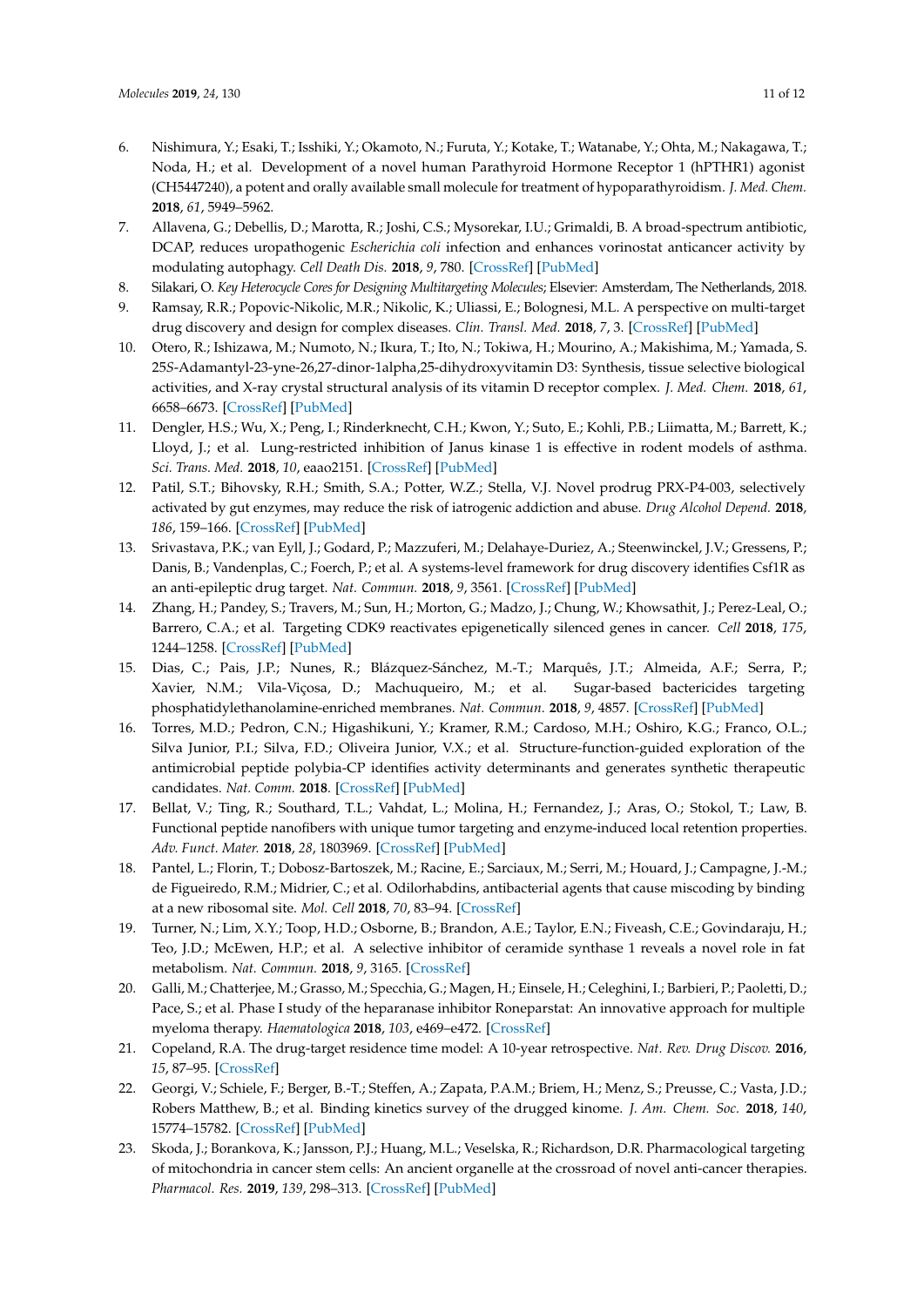- <span id="page-11-0"></span>6. Nishimura, Y.; Esaki, T.; Isshiki, Y.; Okamoto, N.; Furuta, Y.; Kotake, T.; Watanabe, Y.; Ohta, M.; Nakagawa, T.; Noda, H.; et al. Development of a novel human Parathyroid Hormone Receptor 1 (hPTHR1) agonist (CH5447240), a potent and orally available small molecule for treatment of hypoparathyroidism. *J. Med. Chem.* **2018**, *61*, 5949–5962.
- <span id="page-11-1"></span>7. Allavena, G.; Debellis, D.; Marotta, R.; Joshi, C.S.; Mysorekar, I.U.; Grimaldi, B. A broad-spectrum antibiotic, DCAP, reduces uropathogenic *Escherichia coli* infection and enhances vorinostat anticancer activity by modulating autophagy. *Cell Death Dis.* **2018**, *9*, 780. [\[CrossRef\]](http://dx.doi.org/10.1038/s41419-018-0786-4) [\[PubMed\]](http://www.ncbi.nlm.nih.gov/pubmed/30006504)
- <span id="page-11-2"></span>8. Silakari, O. *Key Heterocycle Cores for Designing Multitargeting Molecules*; Elsevier: Amsterdam, The Netherlands, 2018.
- <span id="page-11-3"></span>9. Ramsay, R.R.; Popovic-Nikolic, M.R.; Nikolic, K.; Uliassi, E.; Bolognesi, M.L. A perspective on multi-target drug discovery and design for complex diseases. *Clin. Transl. Med.* **2018**, *7*, 3. [\[CrossRef\]](http://dx.doi.org/10.1186/s40169-017-0181-2) [\[PubMed\]](http://www.ncbi.nlm.nih.gov/pubmed/29340951)
- <span id="page-11-4"></span>10. Otero, R.; Ishizawa, M.; Numoto, N.; Ikura, T.; Ito, N.; Tokiwa, H.; Mourino, A.; Makishima, M.; Yamada, S. 25*S*-Adamantyl-23-yne-26,27-dinor-1alpha,25-dihydroxyvitamin D3: Synthesis, tissue selective biological activities, and X-ray crystal structural analysis of its vitamin D receptor complex. *J. Med. Chem.* **2018**, *61*, 6658–6673. [\[CrossRef\]](http://dx.doi.org/10.1021/acs.jmedchem.8b00427) [\[PubMed\]](http://www.ncbi.nlm.nih.gov/pubmed/29989817)
- <span id="page-11-5"></span>11. Dengler, H.S.; Wu, X.; Peng, I.; Rinderknecht, C.H.; Kwon, Y.; Suto, E.; Kohli, P.B.; Liimatta, M.; Barrett, K.; Lloyd, J.; et al. Lung-restricted inhibition of Janus kinase 1 is effective in rodent models of asthma. *Sci. Trans. Med.* **2018**, *10*, eaao2151. [\[CrossRef\]](http://dx.doi.org/10.1126/scitranslmed.aao2151) [\[PubMed\]](http://www.ncbi.nlm.nih.gov/pubmed/30463918)
- <span id="page-11-6"></span>12. Patil, S.T.; Bihovsky, R.H.; Smith, S.A.; Potter, W.Z.; Stella, V.J. Novel prodrug PRX-P4-003, selectively activated by gut enzymes, may reduce the risk of iatrogenic addiction and abuse. *Drug Alcohol Depend.* **2018**, *186*, 159–166. [\[CrossRef\]](http://dx.doi.org/10.1016/j.drugalcdep.2017.12.042) [\[PubMed\]](http://www.ncbi.nlm.nih.gov/pubmed/29574296)
- <span id="page-11-7"></span>13. Srivastava, P.K.; van Eyll, J.; Godard, P.; Mazzuferi, M.; Delahaye-Duriez, A.; Steenwinckel, J.V.; Gressens, P.; Danis, B.; Vandenplas, C.; Foerch, P.; et al. A systems-level framework for drug discovery identifies Csf1R as an anti-epileptic drug target. *Nat. Commun.* **2018**, *9*, 3561. [\[CrossRef\]](http://dx.doi.org/10.1038/s41467-018-06008-4) [\[PubMed\]](http://www.ncbi.nlm.nih.gov/pubmed/30177815)
- <span id="page-11-8"></span>14. Zhang, H.; Pandey, S.; Travers, M.; Sun, H.; Morton, G.; Madzo, J.; Chung, W.; Khowsathit, J.; Perez-Leal, O.; Barrero, C.A.; et al. Targeting CDK9 reactivates epigenetically silenced genes in cancer. *Cell* **2018**, *175*, 1244–1258. [\[CrossRef\]](http://dx.doi.org/10.1016/j.cell.2018.09.051) [\[PubMed\]](http://www.ncbi.nlm.nih.gov/pubmed/30454645)
- <span id="page-11-9"></span>15. Dias, C.; Pais, J.P.; Nunes, R.; Blázquez-Sánchez, M.-T.; Marquês, J.T.; Almeida, A.F.; Serra, P.; Xavier, N.M.; Vila-Viçosa, D.; Machuqueiro, M.; et al. Sugar-based bactericides targeting phosphatidylethanolamine-enriched membranes. *Nat. Commun.* **2018**, *9*, 4857. [\[CrossRef\]](http://dx.doi.org/10.1038/s41467-018-06488-4) [\[PubMed\]](http://www.ncbi.nlm.nih.gov/pubmed/30451842)
- <span id="page-11-10"></span>16. Torres, M.D.; Pedron, C.N.; Higashikuni, Y.; Kramer, R.M.; Cardoso, M.H.; Oshiro, K.G.; Franco, O.L.; Silva Junior, P.I.; Silva, F.D.; Oliveira Junior, V.X.; et al. Structure-function-guided exploration of the antimicrobial peptide polybia-CP identifies activity determinants and generates synthetic therapeutic candidates. *Nat. Comm.* **2018**. [\[CrossRef\]](http://dx.doi.org/10.1038/s42003-018-0224-2) [\[PubMed\]](http://www.ncbi.nlm.nih.gov/pubmed/30534613)
- <span id="page-11-11"></span>17. Bellat, V.; Ting, R.; Southard, T.L.; Vahdat, L.; Molina, H.; Fernandez, J.; Aras, O.; Stokol, T.; Law, B. Functional peptide nanofibers with unique tumor targeting and enzyme-induced local retention properties. *Adv. Funct. Mater.* **2018**, *28*, 1803969. [\[CrossRef\]](http://dx.doi.org/10.1002/adfm.201803969) [\[PubMed\]](http://www.ncbi.nlm.nih.gov/pubmed/30505260)
- <span id="page-11-12"></span>18. Pantel, L.; Florin, T.; Dobosz-Bartoszek, M.; Racine, E.; Sarciaux, M.; Serri, M.; Houard, J.; Campagne, J.-M.; de Figueiredo, R.M.; Midrier, C.; et al. Odilorhabdins, antibacterial agents that cause miscoding by binding at a new ribosomal site. *Mol. Cell* **2018**, *70*, 83–94. [\[CrossRef\]](http://dx.doi.org/10.1016/j.molcel.2018.03.001)
- <span id="page-11-13"></span>19. Turner, N.; Lim, X.Y.; Toop, H.D.; Osborne, B.; Brandon, A.E.; Taylor, E.N.; Fiveash, C.E.; Govindaraju, H.; Teo, J.D.; McEwen, H.P.; et al. A selective inhibitor of ceramide synthase 1 reveals a novel role in fat metabolism. *Nat. Commun.* **2018**, *9*, 3165. [\[CrossRef\]](http://dx.doi.org/10.1038/s41467-018-05613-7)
- <span id="page-11-14"></span>20. Galli, M.; Chatterjee, M.; Grasso, M.; Specchia, G.; Magen, H.; Einsele, H.; Celeghini, I.; Barbieri, P.; Paoletti, D.; Pace, S.; et al. Phase I study of the heparanase inhibitor Roneparstat: An innovative approach for multiple myeloma therapy. *Haematologica* **2018**, *103*, e469–e472. [\[CrossRef\]](http://dx.doi.org/10.3324/haematol.2017.182865)
- <span id="page-11-15"></span>21. Copeland, R.A. The drug-target residence time model: A 10-year retrospective. *Nat. Rev. Drug Discov.* **2016**, *15*, 87–95. [\[CrossRef\]](http://dx.doi.org/10.1038/nrd.2015.18)
- <span id="page-11-16"></span>22. Georgi, V.; Schiele, F.; Berger, B.-T.; Steffen, A.; Zapata, P.A.M.; Briem, H.; Menz, S.; Preusse, C.; Vasta, J.D.; Robers Matthew, B.; et al. Binding kinetics survey of the drugged kinome. *J. Am. Chem. Soc.* **2018**, *140*, 15774–15782. [\[CrossRef\]](http://dx.doi.org/10.1021/jacs.8b08048) [\[PubMed\]](http://www.ncbi.nlm.nih.gov/pubmed/30362749)
- <span id="page-11-17"></span>23. Skoda, J.; Borankova, K.; Jansson, P.J.; Huang, M.L.; Veselska, R.; Richardson, D.R. Pharmacological targeting of mitochondria in cancer stem cells: An ancient organelle at the crossroad of novel anti-cancer therapies. *Pharmacol. Res.* **2019**, *139*, 298–313. [\[CrossRef\]](http://dx.doi.org/10.1016/j.phrs.2018.11.020) [\[PubMed\]](http://www.ncbi.nlm.nih.gov/pubmed/30453033)